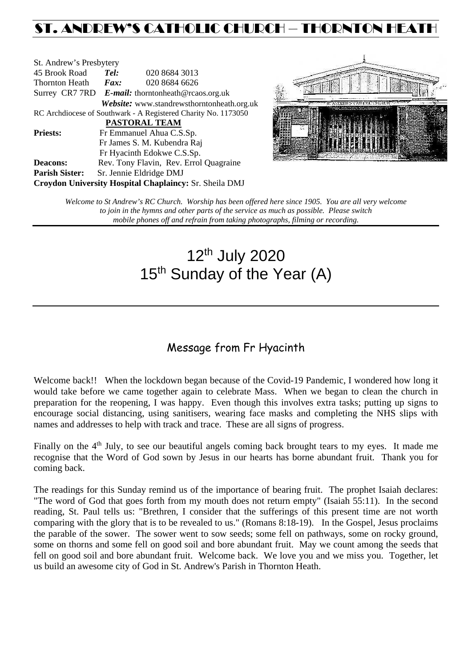## ST. ANDREW'S CATHOLIC CHURCH – THORNTON HEAT

| St. Andrew's Presbytery                                        |                                                   |  |                                            |  |  |  |
|----------------------------------------------------------------|---------------------------------------------------|--|--------------------------------------------|--|--|--|
| 45 Brook Road                                                  | Tel:<br>020 8684 3013                             |  |                                            |  |  |  |
| <b>Thornton Heath</b>                                          | $\boldsymbol{Fax:}$                               |  | 020 8684 6626                              |  |  |  |
|                                                                | Surrey CR7 7RD E-mail: thorntonheath@rcaos.org.uk |  |                                            |  |  |  |
|                                                                |                                                   |  | Website: www.standrewsthorntonheath.org.uk |  |  |  |
| RC Archdiocese of Southwark - A Registered Charity No. 1173050 |                                                   |  |                                            |  |  |  |
| <b>PASTORAL TEAM</b>                                           |                                                   |  |                                            |  |  |  |
| <b>Priests:</b>                                                | Fr Emmanuel Ahua C.S.Sp.                          |  |                                            |  |  |  |
| Fr James S. M. Kubendra Raj                                    |                                                   |  |                                            |  |  |  |
|                                                                |                                                   |  | Fr Hyacinth Edokwe C.S.Sp.                 |  |  |  |
| <b>Deacons:</b>                                                |                                                   |  | Rev. Tony Flavin, Rev. Errol Quagraine     |  |  |  |
| <b>Parish Sister:</b>                                          | Sr. Jennie Eldridge DMJ                           |  |                                            |  |  |  |
| Croydon University Hospital Chaplaincy: Sr. Sheila DMJ         |                                                   |  |                                            |  |  |  |



*Welcome to St Andrew's RC Church. Worship has been offered here since 1905. You are all very welcome to join in the hymns and other parts of the service as much as possible. Please switch mobile phones off and refrain from taking photographs, filming or recording.*

# 12th July 2020 15<sup>th</sup> Sunday of the Year (A)

## Message from Fr Hyacinth

Welcome back!! When the lockdown began because of the Covid-19 Pandemic, I wondered how long it would take before we came together again to celebrate Mass. When we began to clean the church in preparation for the reopening, I was happy. Even though this involves extra tasks; putting up signs to encourage social distancing, using sanitisers, wearing face masks and completing the NHS slips with names and addresses to help with track and trace. These are all signs of progress.

Finally on the 4<sup>th</sup> July, to see our beautiful angels coming back brought tears to my eyes. It made me recognise that the Word of God sown by Jesus in our hearts has borne abundant fruit. Thank you for coming back.

The readings for this Sunday remind us of the importance of bearing fruit. The prophet Isaiah declares: "The word of God that goes forth from my mouth does not return empty" (Isaiah 55:11). In the second reading, St. Paul tells us: "Brethren, I consider that the sufferings of this present time are not worth comparing with the glory that is to be revealed to us." (Romans 8:18-19). In the Gospel, Jesus proclaims the parable of the sower. The sower went to sow seeds; some fell on pathways, some on rocky ground, some on thorns and some fell on good soil and bore abundant fruit. May we count among the seeds that fell on good soil and bore abundant fruit. Welcome back. We love you and we miss you. Together, let us build an awesome city of God in St. Andrew's Parish in Thornton Heath.